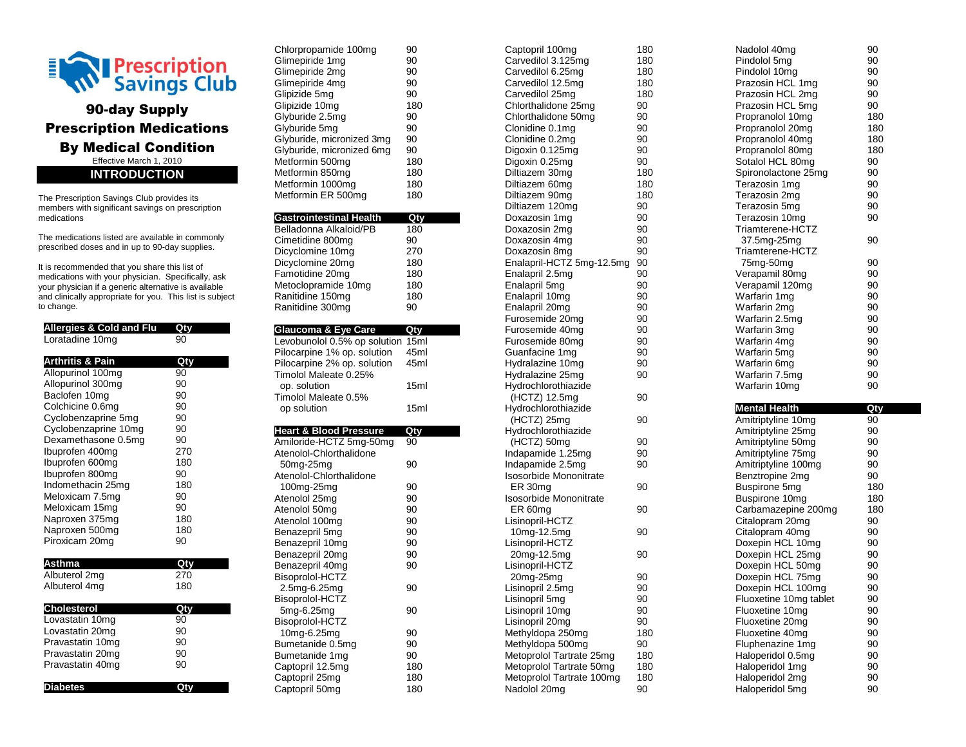

## 90 -day Supply Prescription Medications By Medical Condition Effective March 1, 2010

**INTRODUCTION**

The Prescription Savings Club provides its members with significant savings on prescription medications

The medications listed are available in commonly prescribed doses and in up to 90 -day supplies.

It is recommended that you share this list of medications with your physician. Specifically, ask your physician if a generic alternative is available and clinically appropriate for you. This list is subject to change.

| <b>Allergies &amp; Cold and Flu</b>  | Qty        |
|--------------------------------------|------------|
| Loratadine 10mg                      | 90         |
| <b>Arthritis &amp; Pain</b>          |            |
|                                      | Qty        |
| Allopurinol 100mg                    | 90         |
| Allopurinol 300mg                    | 90         |
| Baclofen 10mg                        | 90         |
| Colchicine 0.6mg                     | 90         |
| Cyclobenzaprine 5mg                  | 90         |
| Cyclobenzaprine 10mg                 | 90         |
| Dexamethasone 0.5mg                  | 90         |
| Ibuprofen 400mg                      | 270<br>180 |
| Ibuprofen 600mg                      | 90         |
| Ibuprofen 800mg<br>Indomethacin 25mg | 180        |
| Meloxicam 7.5mg                      | 90         |
| Meloxicam 15mg                       | 90         |
| Naproxen 375mg                       | 180        |
| Naproxen 500mg                       | 180        |
| Piroxicam 20mg                       | 90         |
|                                      |            |
| Asthma                               | Qty        |
| Albuterol 2mg                        | 270        |
| Albuterol 4mg                        | 180        |
| <b>Cholesterol</b>                   | Qty        |
| Lovastatin 10mg                      | 90         |
| Lovastatin 20mg                      | 90         |
| Pravastatin 10mg                     | 90         |
| Pravastatin 20mg                     | 90         |
| Pravastatin 40mg                     | 90         |
|                                      |            |
| <b>Diabetes</b>                      | Qty        |

| Chlorpropamide 100mg<br>Glimepiride 1mg<br>Glimepiride 2mg<br>Glimepiride 4mg<br>Glipizide 5mg<br>Glipizide 10mg<br>Glyburide 2.5mg<br>Glyburide 5mg<br>Glyburide, micronized 3mg<br>Glyburide, micronized 6mg<br>Metformin 500mg<br>Metformin 850mg<br>Metformin 1000mg<br>Metformin ER 500mg | 90<br>90<br>90<br>90<br>90<br>180<br>90<br>90<br>90<br>90<br>180<br>180<br>180<br>180 |
|------------------------------------------------------------------------------------------------------------------------------------------------------------------------------------------------------------------------------------------------------------------------------------------------|---------------------------------------------------------------------------------------|
| <b>Gastrointestinal Health</b><br>Belladonna Alkaloid/PB                                                                                                                                                                                                                                       | Qty<br>180                                                                            |
| Cimetidine 800mg                                                                                                                                                                                                                                                                               | 90                                                                                    |
| Dicyclomine 10mg<br>Dicyclomine 20mg                                                                                                                                                                                                                                                           | 270<br>180                                                                            |
| Famotidine 20mg                                                                                                                                                                                                                                                                                | 180                                                                                   |
| Metoclopramide 10mg                                                                                                                                                                                                                                                                            | 180                                                                                   |
| Ranitidine 150mg                                                                                                                                                                                                                                                                               | 180                                                                                   |
| Ranitidine 300mg                                                                                                                                                                                                                                                                               | 90                                                                                    |
| Glaucoma & Eye Care                                                                                                                                                                                                                                                                            | Qty                                                                                   |
| Levobunolol 0.5% op solution                                                                                                                                                                                                                                                                   | 15ml                                                                                  |
| Pilocarpine 1% op. solution                                                                                                                                                                                                                                                                    | 45ml                                                                                  |
| Pilocarpine 2% op. solution<br>Timolol Maleate 0.25%                                                                                                                                                                                                                                           | 45ml                                                                                  |
|                                                                                                                                                                                                                                                                                                |                                                                                       |
|                                                                                                                                                                                                                                                                                                |                                                                                       |
| op. solution<br>Timolol Maleate 0.5%                                                                                                                                                                                                                                                           | 15ml                                                                                  |
| op solution                                                                                                                                                                                                                                                                                    | 15ml                                                                                  |
|                                                                                                                                                                                                                                                                                                |                                                                                       |
| <b>Heart &amp; Blood Pressure</b><br>Amiloride-HCTZ 5mg-50mg                                                                                                                                                                                                                                   | Qty<br>90                                                                             |
| Atenolol-Chlorthalidone                                                                                                                                                                                                                                                                        |                                                                                       |
| 50mg-25mg                                                                                                                                                                                                                                                                                      | 90                                                                                    |
| Atenolol-Chlorthalidone                                                                                                                                                                                                                                                                        |                                                                                       |
| 100mg-25mg                                                                                                                                                                                                                                                                                     | 90                                                                                    |
| Atenolol 25mg                                                                                                                                                                                                                                                                                  | 90                                                                                    |
| Atenolol 50mg                                                                                                                                                                                                                                                                                  | 90                                                                                    |
| Atenolol 100mg                                                                                                                                                                                                                                                                                 | 90                                                                                    |
| Benazepril 5mg                                                                                                                                                                                                                                                                                 | 90<br>90                                                                              |
| Benazepril 10mg<br>Benazepril 20mg                                                                                                                                                                                                                                                             | 90                                                                                    |
| Benazepril 40mg                                                                                                                                                                                                                                                                                | 90                                                                                    |
| Bisoprolol-HCTZ                                                                                                                                                                                                                                                                                |                                                                                       |
| 2.5mg-6.25mg                                                                                                                                                                                                                                                                                   | 90                                                                                    |
| Bisoprolol-HCTZ                                                                                                                                                                                                                                                                                |                                                                                       |
| 5mg-6.25mg                                                                                                                                                                                                                                                                                     | 90                                                                                    |
| Bisoprolol-HCTZ                                                                                                                                                                                                                                                                                |                                                                                       |
| 10mg-6.25mg                                                                                                                                                                                                                                                                                    | 90                                                                                    |
| Bumetanide 0.5mg                                                                                                                                                                                                                                                                               | 90<br>90                                                                              |
| Bumetanide 1mg<br>Captopril 12.5mg                                                                                                                                                                                                                                                             | 180                                                                                   |
| Captopril 25mg<br>Captopril 50mg                                                                                                                                                                                                                                                               | 180                                                                                   |

u

u

u

| Captopril 100mg               | 180 |
|-------------------------------|-----|
| Carvedilol 3.125mg            | 180 |
| Carvedilol 6.25mg             | 180 |
| Carvedilol 12.5mg             | 180 |
| Carvedilol 25mg               | 180 |
| Chlorthalidone 25mg           | 90  |
| Chlorthalidone 50mg           | 90  |
| Clonidine 0.1mg               | 90  |
| Clonidine 0.2mg               | 90  |
| Digoxin 0.125mg               | 90  |
| Digoxin 0.25mg                | 90  |
| Diltiazem 30mg                | 180 |
| Diltiazem 60mg                | 180 |
|                               | 180 |
| Diltiazem 90mg                |     |
| Diltiazem 120mg               | 90  |
| Doxazosin 1mg                 | 90  |
| Doxazosin 2mg                 | 90  |
| Doxazosin 4mg                 | 90  |
| Doxazosin 8mg                 | 90  |
| Enalapril-HCTZ 5mg-12.5mg     | 90  |
| Enalapril 2.5mg               | 90  |
| Enalapril 5mg                 | 90  |
| Enalapril 10mg                | 90  |
| Enalapril 20mg                | 90  |
| Furosemide 20mg               | 90  |
| Furosemide 40mg               | 90  |
| Furosemide 80mg               | 90  |
| Guanfacine 1mg                | 90  |
| Hydralazine 10mg              | 90  |
| Hydralazine 25mg              | 90  |
| Hydrochlorothiazide           |     |
| (HCTZ) 12.5mg                 | 90  |
| Hydrochlorothiazide           |     |
| (HCTZ) 25mg                   | 90  |
| Hydrochlorothiazide           |     |
| (HCTZ) 50mg                   | 90  |
| Indapamide 1.25mg             | 90  |
| Indapamide 2.5mg              | 90  |
| <b>Isosorbide Mononitrate</b> |     |
| ER 30mg                       | 90  |
| <b>Isosorbide Mononitrate</b> |     |
| ER <sub>60mg</sub>            | 90  |
| Lisinopril-HCTZ               |     |
| 10mg-12.5mg                   | 90  |
| Lisinopril-HCTZ               |     |
| 20mg-12.5mg                   | 90  |
| Lisinopril-HCTZ               |     |
| 20mg-25mg                     | 90  |
| Lisinopril 2.5mg              | 90  |
| Lisinopril 5mg                | 90  |
| Lisinopril 10mg               | 90  |
| Lisinopril 20mg               | 90  |
| Methyldopa 250mg              | 180 |
| Methyldopa 500mg              | 90  |
| Metoprolol Tartrate 25mg      | 180 |
| Metoprolol Tartrate 50mg      | 180 |
| Metoprolol Tartrate 100mg     | 180 |
| Nadolol 20mg                  | 90  |
|                               |     |

| Nadolol 40mg<br>Pindolol 5mg<br>Pindolol 10mg<br>Prazosin HCL 1mg<br>Prazosin HCL 2mg<br>Prazosin HCL 5mg<br>Propranolol 10mg<br>Propranolol 20mg<br>Propranolol 40mg<br>Propranolol 80mg<br>Sotalol HCL 80mg<br>Spironolactone 25mg<br>Terazosin 1mg<br>Terazosin 2mg<br>Terazosin 5mg<br>Terazosin 10mg<br>Triamterene-HCTZ<br>37.5mg-25mg<br>Triamterene-HCTZ<br>75mg-50mg<br>Verapamil 80mg<br>Verapamil 120mg<br>Warfarin 1mg<br>Warfarin 2mg<br>Warfarin 2.5mg | 90<br>90<br>90<br>90<br>90<br>90<br>180<br>180<br>180<br>180<br>90<br>90<br>90<br>90<br>90<br>90<br>90<br>90<br>90<br>90<br>90<br>90<br>90 |
|----------------------------------------------------------------------------------------------------------------------------------------------------------------------------------------------------------------------------------------------------------------------------------------------------------------------------------------------------------------------------------------------------------------------------------------------------------------------|--------------------------------------------------------------------------------------------------------------------------------------------|
| Warfarin 3mq                                                                                                                                                                                                                                                                                                                                                                                                                                                         | 90                                                                                                                                         |
| Warfarin 4mq<br>Warfarin 5mg                                                                                                                                                                                                                                                                                                                                                                                                                                         | 90<br>90                                                                                                                                   |
| Warfarin 6mq                                                                                                                                                                                                                                                                                                                                                                                                                                                         | 90                                                                                                                                         |
|                                                                                                                                                                                                                                                                                                                                                                                                                                                                      | 90                                                                                                                                         |
| Warfarin 7.5mg                                                                                                                                                                                                                                                                                                                                                                                                                                                       |                                                                                                                                            |
| Warfarin 10mg                                                                                                                                                                                                                                                                                                                                                                                                                                                        | 90                                                                                                                                         |
|                                                                                                                                                                                                                                                                                                                                                                                                                                                                      |                                                                                                                                            |
| <b>Mental Health</b><br>Amitriptyline 10mg                                                                                                                                                                                                                                                                                                                                                                                                                           | Qty<br>90                                                                                                                                  |
| Amitriptyline 25mg                                                                                                                                                                                                                                                                                                                                                                                                                                                   | 90                                                                                                                                         |
| Amitriptyline 50mg                                                                                                                                                                                                                                                                                                                                                                                                                                                   | 90                                                                                                                                         |
| Amitriptyline 75mg                                                                                                                                                                                                                                                                                                                                                                                                                                                   | 90                                                                                                                                         |
| Amitriptyline 100mg                                                                                                                                                                                                                                                                                                                                                                                                                                                  | 90                                                                                                                                         |
| Benztropine 2mg                                                                                                                                                                                                                                                                                                                                                                                                                                                      | 90                                                                                                                                         |
| <b>Buspirone 5mg</b>                                                                                                                                                                                                                                                                                                                                                                                                                                                 | 180                                                                                                                                        |
| Buspirone 10mg                                                                                                                                                                                                                                                                                                                                                                                                                                                       | 180<br>180                                                                                                                                 |
| Carbamazepine 200mg<br>Citalopram 20mg                                                                                                                                                                                                                                                                                                                                                                                                                               | 90                                                                                                                                         |
| Citalopram 40mg                                                                                                                                                                                                                                                                                                                                                                                                                                                      | 90                                                                                                                                         |
| Doxepin HCL 10mg                                                                                                                                                                                                                                                                                                                                                                                                                                                     | 90                                                                                                                                         |
| Doxepin HCL 25mg                                                                                                                                                                                                                                                                                                                                                                                                                                                     | 90                                                                                                                                         |
| Doxepin HCL 50mg                                                                                                                                                                                                                                                                                                                                                                                                                                                     | 90                                                                                                                                         |
| Doxepin HCL 75mg                                                                                                                                                                                                                                                                                                                                                                                                                                                     | 90                                                                                                                                         |
| Doxepin HCL 100mg                                                                                                                                                                                                                                                                                                                                                                                                                                                    | 90                                                                                                                                         |
| Fluoxetine 10mg tablet                                                                                                                                                                                                                                                                                                                                                                                                                                               | 90                                                                                                                                         |
| Fluoxetine 10mg<br>Fluoxetine 20mg                                                                                                                                                                                                                                                                                                                                                                                                                                   | 90<br>90                                                                                                                                   |
| Fluoxetine 40mg                                                                                                                                                                                                                                                                                                                                                                                                                                                      | 90                                                                                                                                         |
| Fluphenazine 1mg                                                                                                                                                                                                                                                                                                                                                                                                                                                     | 90                                                                                                                                         |
| Haloperidol 0.5mg                                                                                                                                                                                                                                                                                                                                                                                                                                                    | 90                                                                                                                                         |
| Haloperidol 1mg                                                                                                                                                                                                                                                                                                                                                                                                                                                      | 90                                                                                                                                         |
| Haloperidol 2mg<br>Haloperidol 5mg                                                                                                                                                                                                                                                                                                                                                                                                                                   | 90<br>90                                                                                                                                   |

u